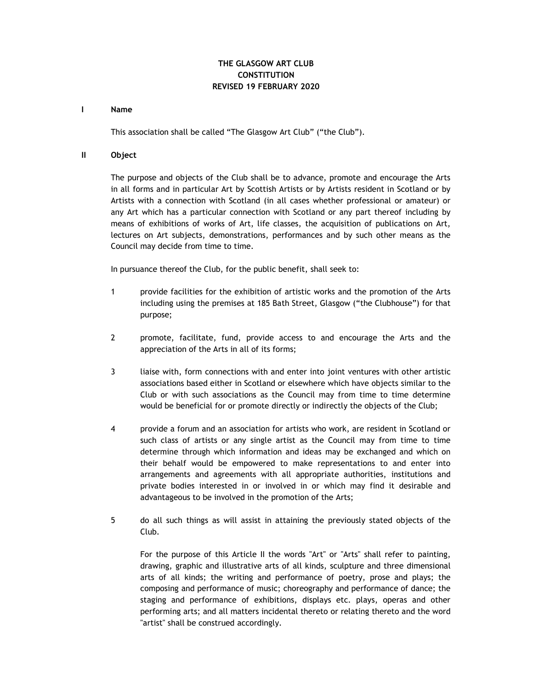# **THE GLASGOW ART CLUB CONSTITUTION REVISED 19 FEBRUARY 2020**

#### **I Name**

This association shall be called "The Glasgow Art Club" ("the Club").

## **II Object**

The purpose and objects of the Club shall be to advance, promote and encourage the Arts in all forms and in particular Art by Scottish Artists or by Artists resident in Scotland or by Artists with a connection with Scotland (in all cases whether professional or amateur) or any Art which has a particular connection with Scotland or any part thereof including by means of exhibitions of works of Art, life classes, the acquisition of publications on Art, lectures on Art subjects, demonstrations, performances and by such other means as the Council may decide from time to time.

In pursuance thereof the Club, for the public benefit, shall seek to:

- 1 provide facilities for the exhibition of artistic works and the promotion of the Arts including using the premises at 185 Bath Street, Glasgow ("the Clubhouse") for that purpose;
- 2 promote, facilitate, fund, provide access to and encourage the Arts and the appreciation of the Arts in all of its forms;
- 3 liaise with, form connections with and enter into joint ventures with other artistic associations based either in Scotland or elsewhere which have objects similar to the Club or with such associations as the Council may from time to time determine would be beneficial for or promote directly or indirectly the objects of the Club;
- 4 provide a forum and an association for artists who work, are resident in Scotland or such class of artists or any single artist as the Council may from time to time determine through which information and ideas may be exchanged and which on their behalf would be empowered to make representations to and enter into arrangements and agreements with all appropriate authorities, institutions and private bodies interested in or involved in or which may find it desirable and advantageous to be involved in the promotion of the Arts;
- 5 do all such things as will assist in attaining the previously stated objects of the Club.

For the purpose of this Article II the words "Art" or "Arts" shall refer to painting, drawing, graphic and illustrative arts of all kinds, sculpture and three dimensional arts of all kinds; the writing and performance of poetry, prose and plays; the composing and performance of music; choreography and performance of dance; the staging and performance of exhibitions, displays etc. plays, operas and other performing arts; and all matters incidental thereto or relating thereto and the word "artist" shall be construed accordingly.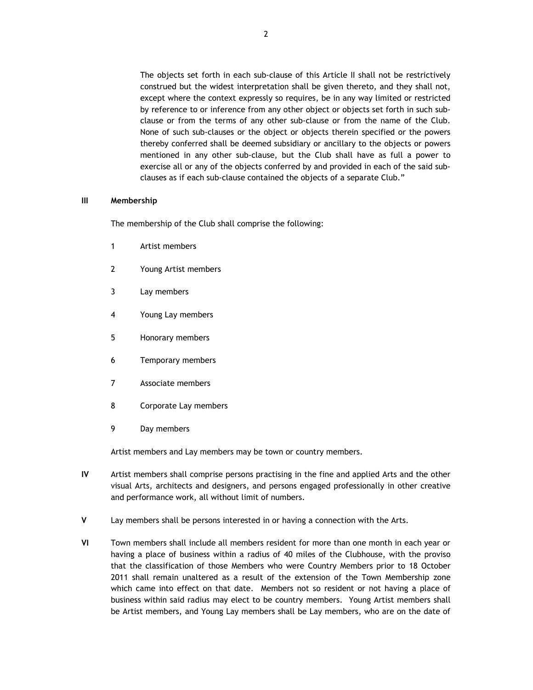The objects set forth in each sub-clause of this Article II shall not be restrictively construed but the widest interpretation shall be given thereto, and they shall not, except where the context expressly so requires, be in any way limited or restricted by reference to or inference from any other object or objects set forth in such subclause or from the terms of any other sub-clause or from the name of the Club. None of such sub-clauses or the object or objects therein specified or the powers thereby conferred shall be deemed subsidiary or ancillary to the objects or powers mentioned in any other sub-clause, but the Club shall have as full a power to exercise all or any of the objects conferred by and provided in each of the said subclauses as if each sub-clause contained the objects of a separate Club."

#### **III Membership**

The membership of the Club shall comprise the following:

- 1 Artist members
- 2 Young Artist members
- 3 Lay members
- 4 Young Lay members
- 5 Honorary members
- 6 Temporary members
- 7 Associate members
- 8 Corporate Lay members
- 9 Day members

Artist members and Lay members may be town or country members.

- **IV** Artist members shall comprise persons practising in the fine and applied Arts and the other visual Arts, architects and designers, and persons engaged professionally in other creative and performance work, all without limit of numbers.
- **V** Lay members shall be persons interested in or having a connection with the Arts.
- **VI** Town members shall include all members resident for more than one month in each year or having a place of business within a radius of 40 miles of the Clubhouse, with the proviso that the classification of those Members who were Country Members prior to 18 October 2011 shall remain unaltered as a result of the extension of the Town Membership zone which came into effect on that date. Members not so resident or not having a place of business within said radius may elect to be country members. Young Artist members shall be Artist members, and Young Lay members shall be Lay members, who are on the date of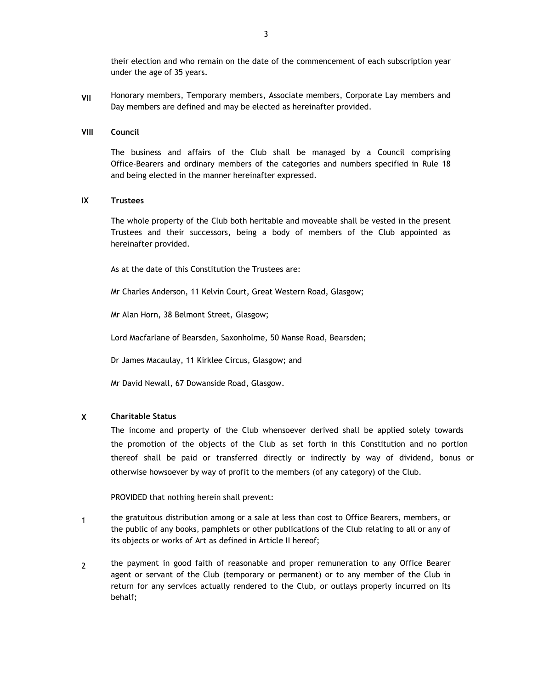their election and who remain on the date of the commencement of each subscription year under the age of 35 years.

**VII**  Honorary members, Temporary members, Associate members, Corporate Lay members and Day members are defined and may be elected as hereinafter provided.

#### **VIII Council**

The business and affairs of the Club shall be managed by a Council comprising Office-Bearers and ordinary members of the categories and numbers specified in Rule 18 and being elected in the manner hereinafter expressed.

#### **IX Trustees**

The whole property of the Club both heritable and moveable shall be vested in the present Trustees and their successors, being a body of members of the Club appointed as hereinafter provided.

As at the date of this Constitution the Trustees are:

Mr Charles Anderson, 11 Kelvin Court, Great Western Road, Glasgow;

Mr Alan Horn, 38 Belmont Street, Glasgow;

Lord Macfarlane of Bearsden, Saxonholme, 50 Manse Road, Bearsden;

Dr James Macaulay, 11 Kirklee Circus, Glasgow; and

Mr David Newall, 67 Dowanside Road, Glasgow.

#### **X Charitable Status**

The income and property of the Club whensoever derived shall be applied solely towards the promotion of the objects of the Club as set forth in this Constitution and no portion thereof shall be paid or transferred directly or indirectly by way of dividend, bonus or otherwise howsoever by way of profit to the members (of any category) of the Club.

PROVIDED that nothing herein shall prevent:

- 1 the gratuitous distribution among or a sale at less than cost to Office Bearers, members, or the public of any books, pamphlets or other publications of the Club relating to all or any of its objects or works of Art as defined in Article II hereof;
- 2 the payment in good faith of reasonable and proper remuneration to any Office Bearer agent or servant of the Club (temporary or permanent) or to any member of the Club in return for any services actually rendered to the Club, or outlays properly incurred on its behalf;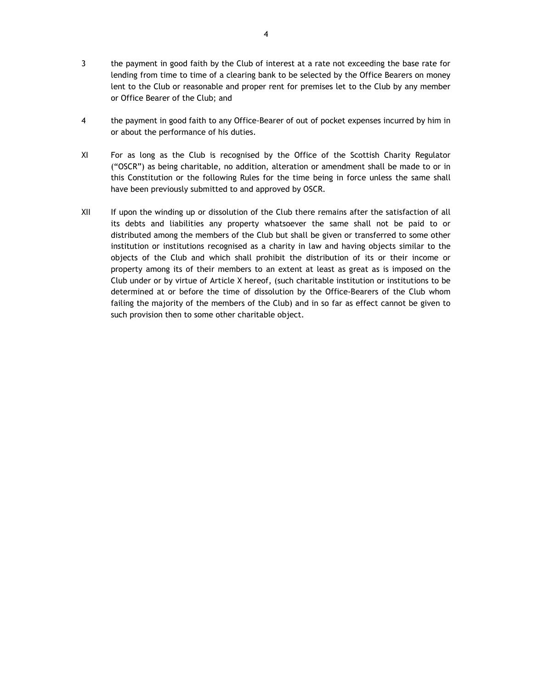- 3 the payment in good faith by the Club of interest at a rate not exceeding the base rate for lending from time to time of a clearing bank to be selected by the Office Bearers on money lent to the Club or reasonable and proper rent for premises let to the Club by any member or Office Bearer of the Club; and
- 4 the payment in good faith to any Office-Bearer of out of pocket expenses incurred by him in or about the performance of his duties.
- XI For as long as the Club is recognised by the Office of the Scottish Charity Regulator ("OSCR") as being charitable, no addition, alteration or amendment shall be made to or in this Constitution or the following Rules for the time being in force unless the same shall have been previously submitted to and approved by OSCR.
- XII If upon the winding up or dissolution of the Club there remains after the satisfaction of all its debts and liabilities any property whatsoever the same shall not be paid to or distributed among the members of the Club but shall be given or transferred to some other institution or institutions recognised as a charity in law and having objects similar to the objects of the Club and which shall prohibit the distribution of its or their income or property among its of their members to an extent at least as great as is imposed on the Club under or by virtue of Article X hereof, (such charitable institution or institutions to be determined at or before the time of dissolution by the Office-Bearers of the Club whom failing the majority of the members of the Club) and in so far as effect cannot be given to such provision then to some other charitable object.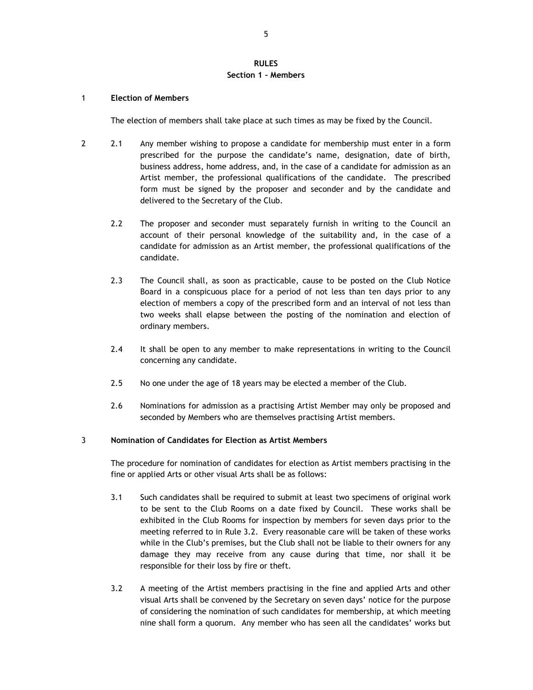## **RULES Section 1 – Members**

#### 1 **Election of Members**

The election of members shall take place at such times as may be fixed by the Council.

- 2 2.1 Any member wishing to propose a candidate for membership must enter in a form prescribed for the purpose the candidate's name, designation, date of birth, business address, home address, and, in the case of a candidate for admission as an Artist member, the professional qualifications of the candidate. The prescribed form must be signed by the proposer and seconder and by the candidate and delivered to the Secretary of the Club.
	- 2.2 The proposer and seconder must separately furnish in writing to the Council an account of their personal knowledge of the suitability and, in the case of a candidate for admission as an Artist member, the professional qualifications of the candidate.
	- 2.3 The Council shall, as soon as practicable, cause to be posted on the Club Notice Board in a conspicuous place for a period of not less than ten days prior to any election of members a copy of the prescribed form and an interval of not less than two weeks shall elapse between the posting of the nomination and election of ordinary members.
	- 2.4 It shall be open to any member to make representations in writing to the Council concerning any candidate.
	- 2.5 No one under the age of 18 years may be elected a member of the Club.
	- 2.6 Nominations for admission as a practising Artist Member may only be proposed and seconded by Members who are themselves practising Artist members.

### 3 **Nomination of Candidates for Election as Artist Members**

The procedure for nomination of candidates for election as Artist members practising in the fine or applied Arts or other visual Arts shall be as follows:

- 3.1 Such candidates shall be required to submit at least two specimens of original work to be sent to the Club Rooms on a date fixed by Council. These works shall be exhibited in the Club Rooms for inspection by members for seven days prior to the meeting referred to in Rule 3.2. Every reasonable care will be taken of these works while in the Club's premises, but the Club shall not be liable to their owners for any damage they may receive from any cause during that time, nor shall it be responsible for their loss by fire or theft.
- 3.2 A meeting of the Artist members practising in the fine and applied Arts and other visual Arts shall be convened by the Secretary on seven days' notice for the purpose of considering the nomination of such candidates for membership, at which meeting nine shall form a quorum. Any member who has seen all the candidates' works but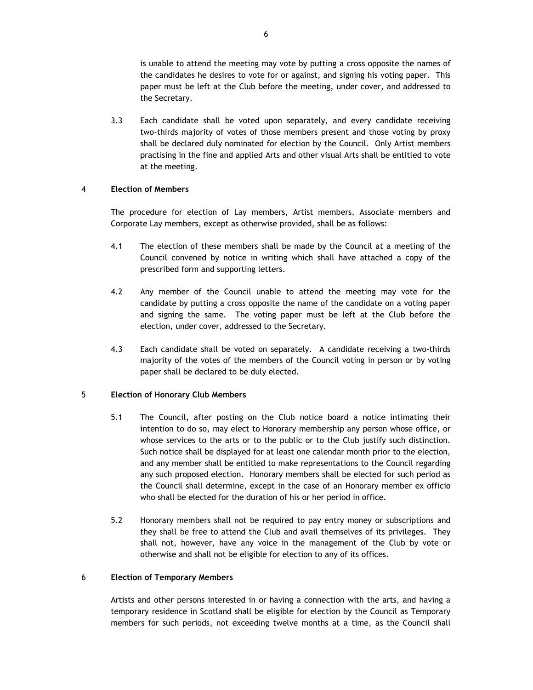is unable to attend the meeting may vote by putting a cross opposite the names of the candidates he desires to vote for or against, and signing his voting paper. This paper must be left at the Club before the meeting, under cover, and addressed to the Secretary.

3.3 Each candidate shall be voted upon separately, and every candidate receiving two-thirds majority of votes of those members present and those voting by proxy shall be declared duly nominated for election by the Council. Only Artist members practising in the fine and applied Arts and other visual Arts shall be entitled to vote at the meeting.

## 4 **Election of Members**

The procedure for election of Lay members, Artist members, Associate members and Corporate Lay members, except as otherwise provided, shall be as follows:

- 4.1 The election of these members shall be made by the Council at a meeting of the Council convened by notice in writing which shall have attached a copy of the prescribed form and supporting letters.
- 4.2 Any member of the Council unable to attend the meeting may vote for the candidate by putting a cross opposite the name of the candidate on a voting paper and signing the same. The voting paper must be left at the Club before the election, under cover, addressed to the Secretary.
- 4.3 Each candidate shall be voted on separately. A candidate receiving a two-thirds majority of the votes of the members of the Council voting in person or by voting paper shall be declared to be duly elected.

# 5 **Election of Honorary Club Members**

- 5.1 The Council, after posting on the Club notice board a notice intimating their intention to do so, may elect to Honorary membership any person whose office, or whose services to the arts or to the public or to the Club justify such distinction. Such notice shall be displayed for at least one calendar month prior to the election, and any member shall be entitled to make representations to the Council regarding any such proposed election. Honorary members shall be elected for such period as the Council shall determine, except in the case of an Honorary member ex officio who shall be elected for the duration of his or her period in office.
- 5.2 Honorary members shall not be required to pay entry money or subscriptions and they shall be free to attend the Club and avail themselves of its privileges. They shall not, however, have any voice in the management of the Club by vote or otherwise and shall not be eligible for election to any of its offices.

## 6 **Election of Temporary Members**

Artists and other persons interested in or having a connection with the arts, and having a temporary residence in Scotland shall be eligible for election by the Council as Temporary members for such periods, not exceeding twelve months at a time, as the Council shall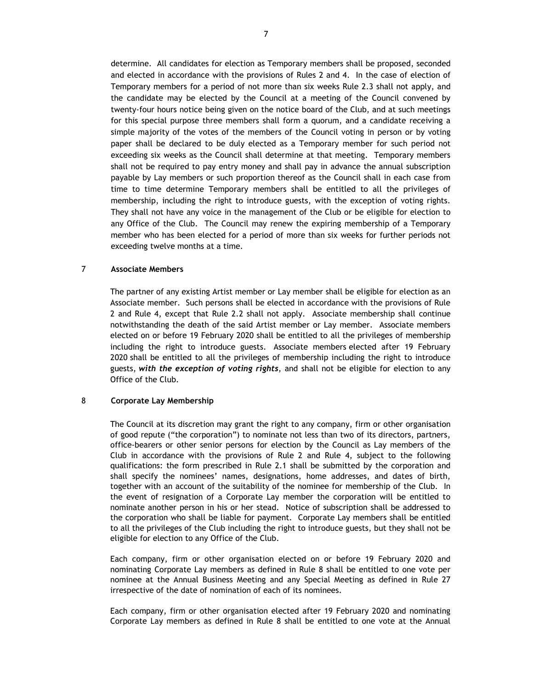determine. All candidates for election as Temporary members shall be proposed, seconded and elected in accordance with the provisions of Rules 2 and 4. In the case of election of Temporary members for a period of not more than six weeks Rule 2.3 shall not apply, and the candidate may be elected by the Council at a meeting of the Council convened by twenty-four hours notice being given on the notice board of the Club, and at such meetings for this special purpose three members shall form a quorum, and a candidate receiving a simple majority of the votes of the members of the Council voting in person or by voting paper shall be declared to be duly elected as a Temporary member for such period not exceeding six weeks as the Council shall determine at that meeting. Temporary members shall not be required to pay entry money and shall pay in advance the annual subscription payable by Lay members or such proportion thereof as the Council shall in each case from time to time determine Temporary members shall be entitled to all the privileges of membership, including the right to introduce guests, with the exception of voting rights. They shall not have any voice in the management of the Club or be eligible for election to any Office of the Club. The Council may renew the expiring membership of a Temporary member who has been elected for a period of more than six weeks for further periods not exceeding twelve months at a time.

# 7 **Associate Members**

The partner of any existing Artist member or Lay member shall be eligible for election as an Associate member. Such persons shall be elected in accordance with the provisions of Rule 2 and Rule 4, except that Rule 2.2 shall not apply. Associate membership shall continue notwithstanding the death of the said Artist member or Lay member. Associate members elected on or before 19 February 2020 shall be entitled to all the privileges of membership including the right to introduce guests. Associate members elected after 19 February 2020 shall be entitled to all the privileges of membership including the right to introduce guests, *with the exception of voting rights*, and shall not be eligible for election to any Office of the Club.

#### 8 **Corporate Lay Membership**

The Council at its discretion may grant the right to any company, firm or other organisation of good repute ("the corporation") to nominate not less than two of its directors, partners, office-bearers or other senior persons for election by the Council as Lay members of the Club in accordance with the provisions of Rule 2 and Rule 4, subject to the following qualifications: the form prescribed in Rule 2.1 shall be submitted by the corporation and shall specify the nominees' names, designations, home addresses, and dates of birth, together with an account of the suitability of the nominee for membership of the Club. In the event of resignation of a Corporate Lay member the corporation will be entitled to nominate another person in his or her stead. Notice of subscription shall be addressed to the corporation who shall be liable for payment. Corporate Lay members shall be entitled to all the privileges of the Club including the right to introduce guests, but they shall not be eligible for election to any Office of the Club.

Each company, firm or other organisation elected on or before 19 February 2020 and nominating Corporate Lay members as defined in Rule 8 shall be entitled to one vote per nominee at the Annual Business Meeting and any Special Meeting as defined in Rule 27 irrespective of the date of nomination of each of its nominees.

Each company, firm or other organisation elected after 19 February 2020 and nominating Corporate Lay members as defined in Rule 8 shall be entitled to one vote at the Annual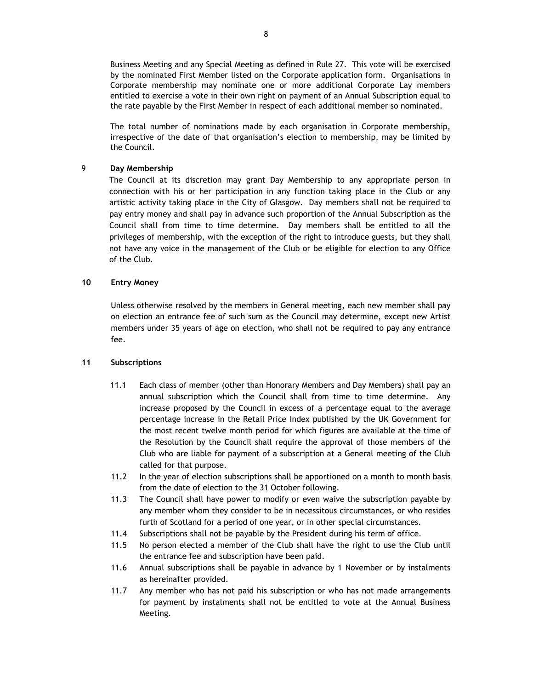Business Meeting and any Special Meeting as defined in Rule 27. This vote will be exercised by the nominated First Member listed on the Corporate application form. Organisations in Corporate membership may nominate one or more additional Corporate Lay members entitled to exercise a vote in their own right on payment of an Annual Subscription equal to the rate payable by the First Member in respect of each additional member so nominated.

The total number of nominations made by each organisation in Corporate membership, irrespective of the date of that organisation's election to membership, may be limited by the Council.

## 9 **Day Membership**

The Council at its discretion may grant Day Membership to any appropriate person in connection with his or her participation in any function taking place in the Club or any artistic activity taking place in the City of Glasgow. Day members shall not be required to pay entry money and shall pay in advance such proportion of the Annual Subscription as the Council shall from time to time determine. Day members shall be entitled to all the privileges of membership, with the exception of the right to introduce guests, but they shall not have any voice in the management of the Club or be eligible for election to any Office of the Club.

## **10 Entry Money**

Unless otherwise resolved by the members in General meeting, each new member shall pay on election an entrance fee of such sum as the Council may determine, except new Artist members under 35 years of age on election, who shall not be required to pay any entrance fee.

#### **11 Subscriptions**

- 11.1 Each class of member (other than Honorary Members and Day Members) shall pay an annual subscription which the Council shall from time to time determine. Any increase proposed by the Council in excess of a percentage equal to the average percentage increase in the Retail Price Index published by the UK Government for the most recent twelve month period for which figures are available at the time of the Resolution by the Council shall require the approval of those members of the Club who are liable for payment of a subscription at a General meeting of the Club called for that purpose.
- 11.2 In the year of election subscriptions shall be apportioned on a month to month basis from the date of election to the 31 October following.
- 11.3 The Council shall have power to modify or even waive the subscription payable by any member whom they consider to be in necessitous circumstances, or who resides furth of Scotland for a period of one year, or in other special circumstances.
- 11.4 Subscriptions shall not be payable by the President during his term of office.
- 11.5 No person elected a member of the Club shall have the right to use the Club until the entrance fee and subscription have been paid.
- 11.6 Annual subscriptions shall be payable in advance by 1 November or by instalments as hereinafter provided.
- 11.7 Any member who has not paid his subscription or who has not made arrangements for payment by instalments shall not be entitled to vote at the Annual Business Meeting.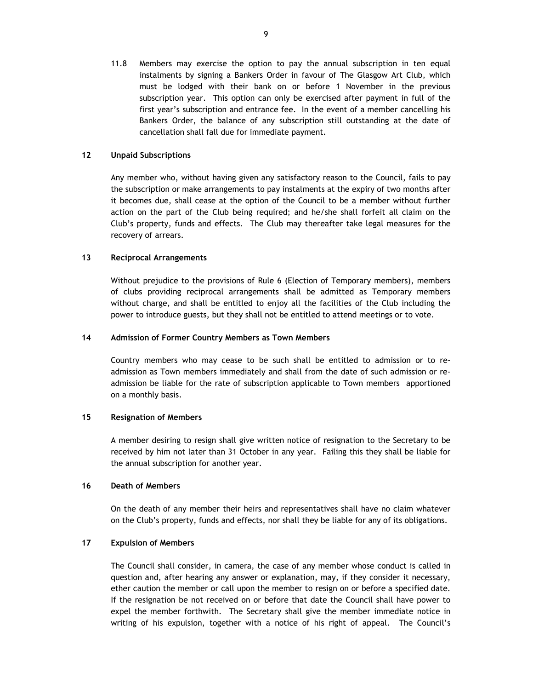11.8 Members may exercise the option to pay the annual subscription in ten equal instalments by signing a Bankers Order in favour of The Glasgow Art Club, which must be lodged with their bank on or before 1 November in the previous subscription year. This option can only be exercised after payment in full of the first year's subscription and entrance fee. In the event of a member cancelling his Bankers Order, the balance of any subscription still outstanding at the date of cancellation shall fall due for immediate payment.

## **12 Unpaid Subscriptions**

Any member who, without having given any satisfactory reason to the Council, fails to pay the subscription or make arrangements to pay instalments at the expiry of two months after it becomes due, shall cease at the option of the Council to be a member without further action on the part of the Club being required; and he/she shall forfeit all claim on the Club's property, funds and effects. The Club may thereafter take legal measures for the recovery of arrears.

## **13 Reciprocal Arrangements**

Without prejudice to the provisions of Rule 6 (Election of Temporary members), members of clubs providing reciprocal arrangements shall be admitted as Temporary members without charge, and shall be entitled to enjoy all the facilities of the Club including the power to introduce guests, but they shall not be entitled to attend meetings or to vote.

#### **14 Admission of Former Country Members as Town Members**

Country members who may cease to be such shall be entitled to admission or to readmission as Town members immediately and shall from the date of such admission or readmission be liable for the rate of subscription applicable to Town members apportioned on a monthly basis.

#### **15 Resignation of Members**

A member desiring to resign shall give written notice of resignation to the Secretary to be received by him not later than 31 October in any year. Failing this they shall be liable for the annual subscription for another year.

#### **16 Death of Members**

On the death of any member their heirs and representatives shall have no claim whatever on the Club's property, funds and effects, nor shall they be liable for any of its obligations.

## **17 Expulsion of Members**

The Council shall consider, in camera, the case of any member whose conduct is called in question and, after hearing any answer or explanation, may, if they consider it necessary, ether caution the member or call upon the member to resign on or before a specified date. If the resignation be not received on or before that date the Council shall have power to expel the member forthwith. The Secretary shall give the member immediate notice in writing of his expulsion, together with a notice of his right of appeal. The Council's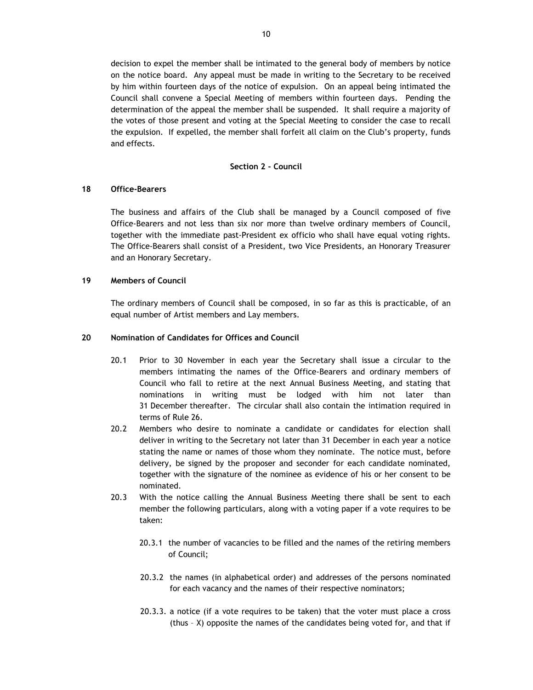decision to expel the member shall be intimated to the general body of members by notice on the notice board. Any appeal must be made in writing to the Secretary to be received by him within fourteen days of the notice of expulsion. On an appeal being intimated the Council shall convene a Special Meeting of members within fourteen days. Pending the determination of the appeal the member shall be suspended. It shall require a majority of the votes of those present and voting at the Special Meeting to consider the case to recall the expulsion. If expelled, the member shall forfeit all claim on the Club's property, funds and effects.

#### **Section 2 - Council**

#### **18 Office-Bearers**

The business and affairs of the Club shall be managed by a Council composed of five Office-Bearers and not less than six nor more than twelve ordinary members of Council, together with the immediate past-President ex officio who shall have equal voting rights. The Office-Bearers shall consist of a President, two Vice Presidents, an Honorary Treasurer and an Honorary Secretary.

## **19 Members of Council**

The ordinary members of Council shall be composed, in so far as this is practicable, of an equal number of Artist members and Lay members.

### **20 Nomination of Candidates for Offices and Council**

- 20.1 Prior to 30 November in each year the Secretary shall issue a circular to the members intimating the names of the Office-Bearers and ordinary members of Council who fall to retire at the next Annual Business Meeting, and stating that nominations in writing must be lodged with him not later than 31 December thereafter. The circular shall also contain the intimation required in terms of Rule 26.
- 20.2 Members who desire to nominate a candidate or candidates for election shall deliver in writing to the Secretary not later than 31 December in each year a notice stating the name or names of those whom they nominate. The notice must, before delivery, be signed by the proposer and seconder for each candidate nominated, together with the signature of the nominee as evidence of his or her consent to be nominated.
- 20.3 With the notice calling the Annual Business Meeting there shall be sent to each member the following particulars, along with a voting paper if a vote requires to be taken:
	- 20.3.1 the number of vacancies to be filled and the names of the retiring members of Council;
	- 20.3.2 the names (in alphabetical order) and addresses of the persons nominated for each vacancy and the names of their respective nominators;
	- 20.3.3. a notice (if a vote requires to be taken) that the voter must place a cross (thus – X) opposite the names of the candidates being voted for, and that if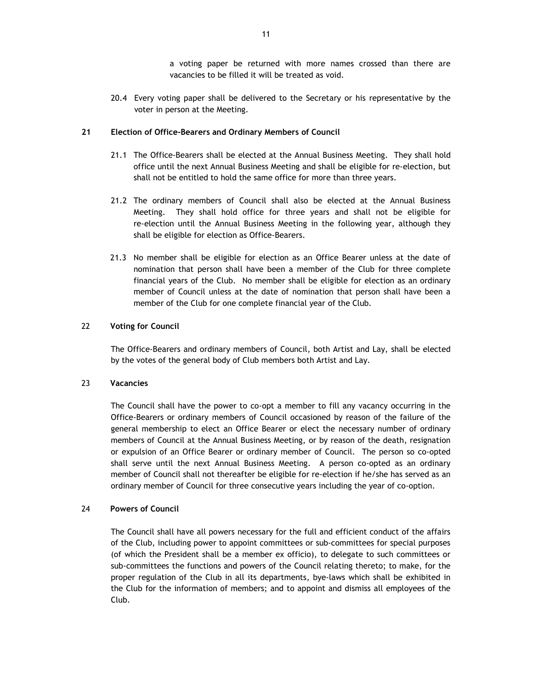a voting paper be returned with more names crossed than there are vacancies to be filled it will be treated as void.

20.4 Every voting paper shall be delivered to the Secretary or his representative by the voter in person at the Meeting.

## **21 Election of Office-Bearers and Ordinary Members of Council**

- 21.1 The Office-Bearers shall be elected at the Annual Business Meeting. They shall hold office until the next Annual Business Meeting and shall be eligible for re-election, but shall not be entitled to hold the same office for more than three years.
- 21.2 The ordinary members of Council shall also be elected at the Annual Business Meeting. They shall hold office for three years and shall not be eligible for re-election until the Annual Business Meeting in the following year, although they shall be eligible for election as Office-Bearers.
- 21.3 No member shall be eligible for election as an Office Bearer unless at the date of nomination that person shall have been a member of the Club for three complete financial years of the Club. No member shall be eligible for election as an ordinary member of Council unless at the date of nomination that person shall have been a member of the Club for one complete financial year of the Club.

## 22 **Voting for Council**

The Office-Bearers and ordinary members of Council, both Artist and Lay, shall be elected by the votes of the general body of Club members both Artist and Lay.

#### 23 **Vacancies**

The Council shall have the power to co-opt a member to fill any vacancy occurring in the Office-Bearers or ordinary members of Council occasioned by reason of the failure of the general membership to elect an Office Bearer or elect the necessary number of ordinary members of Council at the Annual Business Meeting, or by reason of the death, resignation or expulsion of an Office Bearer or ordinary member of Council. The person so co-opted shall serve until the next Annual Business Meeting. A person co-opted as an ordinary member of Council shall not thereafter be eligible for re-election if he/she has served as an ordinary member of Council for three consecutive years including the year of co-option.

#### 24 **Powers of Council**

The Council shall have all powers necessary for the full and efficient conduct of the affairs of the Club, including power to appoint committees or sub-committees for special purposes (of which the President shall be a member ex officio), to delegate to such committees or sub-committees the functions and powers of the Council relating thereto; to make, for the proper regulation of the Club in all its departments, bye-laws which shall be exhibited in the Club for the information of members; and to appoint and dismiss all employees of the Club.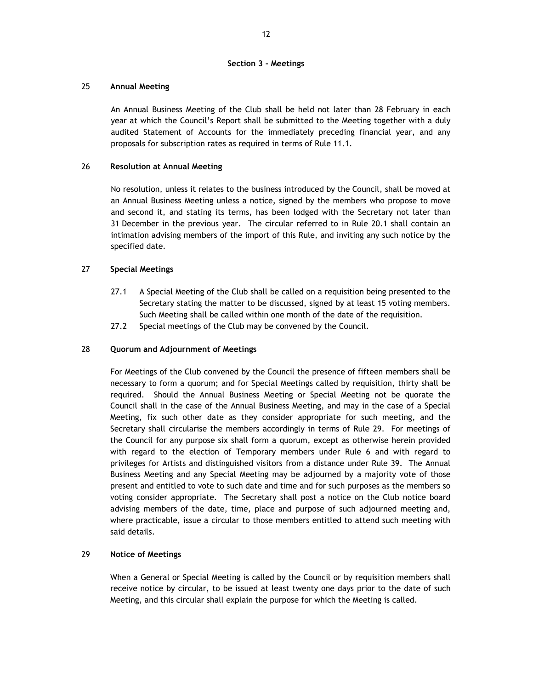## **Section 3 - Meetings**

## 25 **Annual Meeting**

An Annual Business Meeting of the Club shall be held not later than 28 February in each year at which the Council's Report shall be submitted to the Meeting together with a duly audited Statement of Accounts for the immediately preceding financial year, and any proposals for subscription rates as required in terms of Rule 11.1.

## 26 **Resolution at Annual Meeting**

No resolution, unless it relates to the business introduced by the Council, shall be moved at an Annual Business Meeting unless a notice, signed by the members who propose to move and second it, and stating its terms, has been lodged with the Secretary not later than 31 December in the previous year. The circular referred to in Rule 20.1 shall contain an intimation advising members of the import of this Rule, and inviting any such notice by the specified date.

## 27 **Special Meetings**

- 27.1 A Special Meeting of the Club shall be called on a requisition being presented to the Secretary stating the matter to be discussed, signed by at least 15 voting members. Such Meeting shall be called within one month of the date of the requisition.
- 27.2 Special meetings of the Club may be convened by the Council.

## 28 **Quorum and Adjournment of Meetings**

For Meetings of the Club convened by the Council the presence of fifteen members shall be necessary to form a quorum; and for Special Meetings called by requisition, thirty shall be required. Should the Annual Business Meeting or Special Meeting not be quorate the Council shall in the case of the Annual Business Meeting, and may in the case of a Special Meeting, fix such other date as they consider appropriate for such meeting, and the Secretary shall circularise the members accordingly in terms of Rule 29. For meetings of the Council for any purpose six shall form a quorum, except as otherwise herein provided with regard to the election of Temporary members under Rule 6 and with regard to privileges for Artists and distinguished visitors from a distance under Rule 39. The Annual Business Meeting and any Special Meeting may be adjourned by a majority vote of those present and entitled to vote to such date and time and for such purposes as the members so voting consider appropriate. The Secretary shall post a notice on the Club notice board advising members of the date, time, place and purpose of such adjourned meeting and, where practicable, issue a circular to those members entitled to attend such meeting with said details.

## 29 **Notice of Meetings**

When a General or Special Meeting is called by the Council or by requisition members shall receive notice by circular, to be issued at least twenty one days prior to the date of such Meeting, and this circular shall explain the purpose for which the Meeting is called.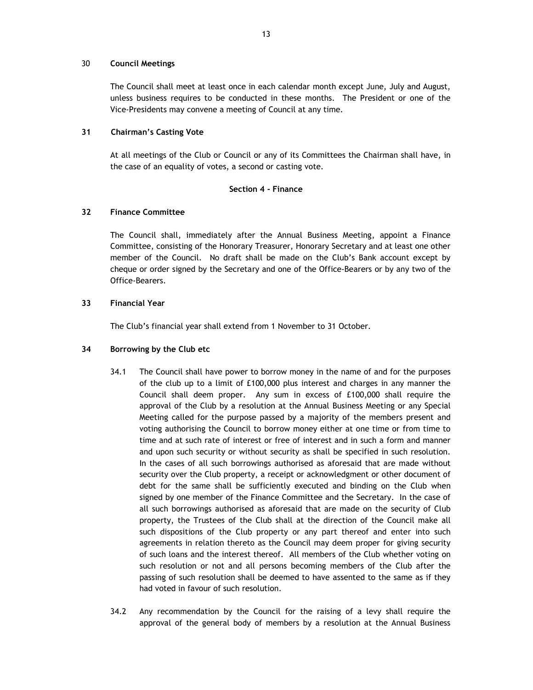## 30 **Council Meetings**

The Council shall meet at least once in each calendar month except June, July and August, unless business requires to be conducted in these months. The President or one of the Vice-Presidents may convene a meeting of Council at any time.

## **31 Chairman's Casting Vote**

At all meetings of the Club or Council or any of its Committees the Chairman shall have, in the case of an equality of votes, a second or casting vote.

## **Section 4 - Finance**

## **32 Finance Committee**

The Council shall, immediately after the Annual Business Meeting, appoint a Finance Committee, consisting of the Honorary Treasurer, Honorary Secretary and at least one other member of the Council. No draft shall be made on the Club's Bank account except by cheque or order signed by the Secretary and one of the Office-Bearers or by any two of the Office-Bearers.

## **33 Financial Year**

The Club's financial year shall extend from 1 November to 31 October.

## **34 Borrowing by the Club etc**

- 34.1 The Council shall have power to borrow money in the name of and for the purposes of the club up to a limit of £100,000 plus interest and charges in any manner the Council shall deem proper. Any sum in excess of £100,000 shall require the approval of the Club by a resolution at the Annual Business Meeting or any Special Meeting called for the purpose passed by a majority of the members present and voting authorising the Council to borrow money either at one time or from time to time and at such rate of interest or free of interest and in such a form and manner and upon such security or without security as shall be specified in such resolution. In the cases of all such borrowings authorised as aforesaid that are made without security over the Club property, a receipt or acknowledgment or other document of debt for the same shall be sufficiently executed and binding on the Club when signed by one member of the Finance Committee and the Secretary. In the case of all such borrowings authorised as aforesaid that are made on the security of Club property, the Trustees of the Club shall at the direction of the Council make all such dispositions of the Club property or any part thereof and enter into such agreements in relation thereto as the Council may deem proper for giving security of such loans and the interest thereof. All members of the Club whether voting on such resolution or not and all persons becoming members of the Club after the passing of such resolution shall be deemed to have assented to the same as if they had voted in favour of such resolution.
- 34.2 Any recommendation by the Council for the raising of a levy shall require the approval of the general body of members by a resolution at the Annual Business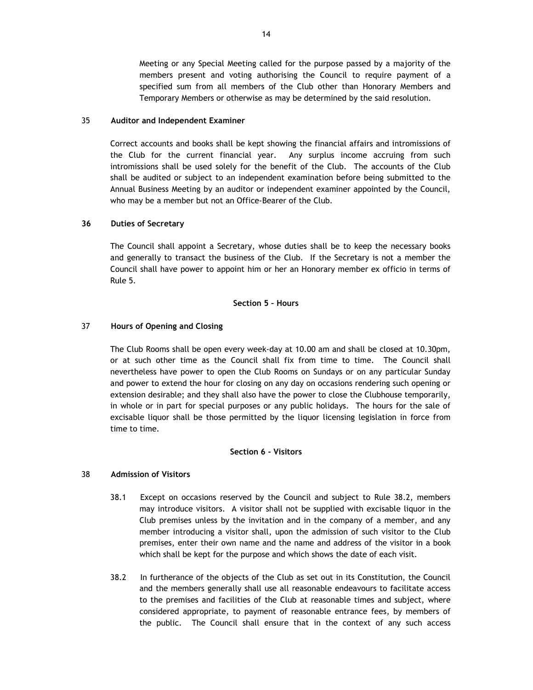Meeting or any Special Meeting called for the purpose passed by a majority of the members present and voting authorising the Council to require payment of a specified sum from all members of the Club other than Honorary Members and Temporary Members or otherwise as may be determined by the said resolution.

#### 35 **Auditor and Independent Examiner**

Correct accounts and books shall be kept showing the financial affairs and intromissions of the Club for the current financial year. Any surplus income accruing from such intromissions shall be used solely for the benefit of the Club. The accounts of the Club shall be audited or subject to an independent examination before being submitted to the Annual Business Meeting by an auditor or independent examiner appointed by the Council, who may be a member but not an Office-Bearer of the Club.

#### **36 Duties of Secretary**

The Council shall appoint a Secretary, whose duties shall be to keep the necessary books and generally to transact the business of the Club. If the Secretary is not a member the Council shall have power to appoint him or her an Honorary member ex officio in terms of Rule 5.

#### **Section 5 – Hours**

## 37 **Hours of Opening and Closing**

The Club Rooms shall be open every week-day at 10.00 am and shall be closed at 10.30pm, or at such other time as the Council shall fix from time to time. The Council shall nevertheless have power to open the Club Rooms on Sundays or on any particular Sunday and power to extend the hour for closing on any day on occasions rendering such opening or extension desirable; and they shall also have the power to close the Clubhouse temporarily, in whole or in part for special purposes or any public holidays. The hours for the sale of excisable liquor shall be those permitted by the liquor licensing legislation in force from time to time.

### **Section 6 - Visitors**

## 38 **Admission of Visitors**

- 38.1 Except on occasions reserved by the Council and subject to Rule 38.2, members may introduce visitors. A visitor shall not be supplied with excisable liquor in the Club premises unless by the invitation and in the company of a member, and any member introducing a visitor shall, upon the admission of such visitor to the Club premises, enter their own name and the name and address of the visitor in a book which shall be kept for the purpose and which shows the date of each visit.
- 38.2 In furtherance of the objects of the Club as set out in its Constitution, the Council and the members generally shall use all reasonable endeavours to facilitate access to the premises and facilities of the Club at reasonable times and subject, where considered appropriate, to payment of reasonable entrance fees, by members of the public. The Council shall ensure that in the context of any such access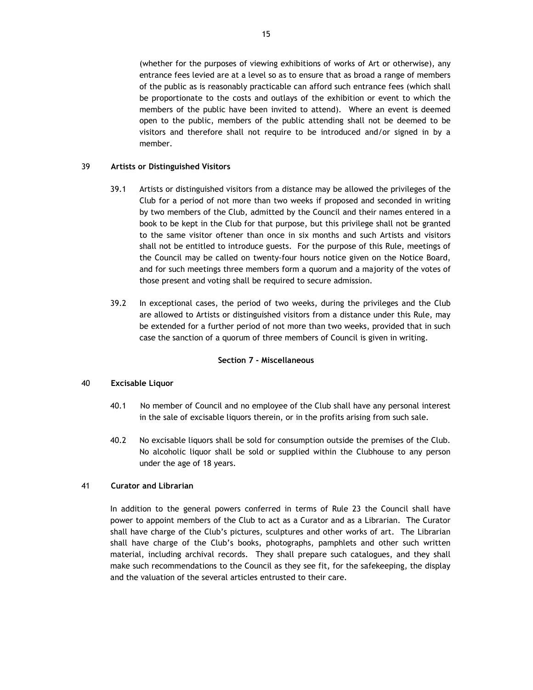(whether for the purposes of viewing exhibitions of works of Art or otherwise), any entrance fees levied are at a level so as to ensure that as broad a range of members of the public as is reasonably practicable can afford such entrance fees (which shall be proportionate to the costs and outlays of the exhibition or event to which the members of the public have been invited to attend). Where an event is deemed open to the public, members of the public attending shall not be deemed to be visitors and therefore shall not require to be introduced and/or signed in by a member.

## 39 **Artists or Distinguished Visitors**

- 39.1 Artists or distinguished visitors from a distance may be allowed the privileges of the Club for a period of not more than two weeks if proposed and seconded in writing by two members of the Club, admitted by the Council and their names entered in a book to be kept in the Club for that purpose, but this privilege shall not be granted to the same visitor oftener than once in six months and such Artists and visitors shall not be entitled to introduce guests. For the purpose of this Rule, meetings of the Council may be called on twenty-four hours notice given on the Notice Board, and for such meetings three members form a quorum and a majority of the votes of those present and voting shall be required to secure admission.
- 39.2 In exceptional cases, the period of two weeks, during the privileges and the Club are allowed to Artists or distinguished visitors from a distance under this Rule, may be extended for a further period of not more than two weeks, provided that in such case the sanction of a quorum of three members of Council is given in writing.

## **Section 7 - Miscellaneous**

## 40 **Excisable Liquor**

- 40.1 No member of Council and no employee of the Club shall have any personal interest in the sale of excisable liquors therein, or in the profits arising from such sale.
- 40.2 No excisable liquors shall be sold for consumption outside the premises of the Club. No alcoholic liquor shall be sold or supplied within the Clubhouse to any person under the age of 18 years.

#### 41 **Curator and Librarian**

In addition to the general powers conferred in terms of Rule 23 the Council shall have power to appoint members of the Club to act as a Curator and as a Librarian. The Curator shall have charge of the Club's pictures, sculptures and other works of art. The Librarian shall have charge of the Club's books, photographs, pamphlets and other such written material, including archival records. They shall prepare such catalogues, and they shall make such recommendations to the Council as they see fit, for the safekeeping, the display and the valuation of the several articles entrusted to their care.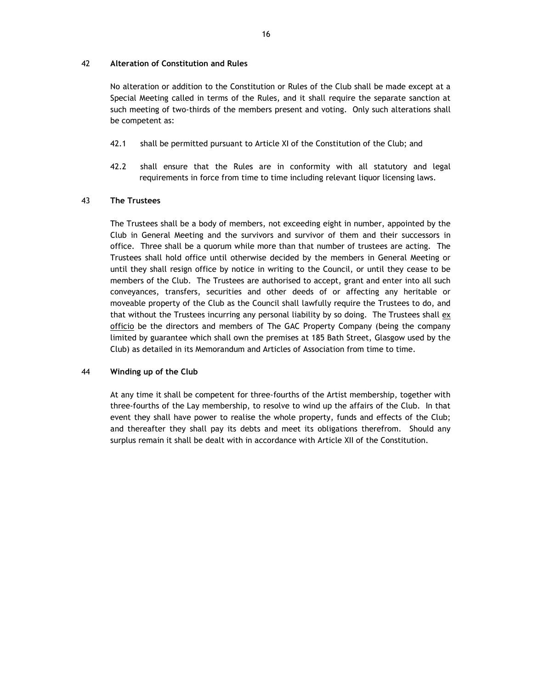## 42 **Alteration of Constitution and Rules**

No alteration or addition to the Constitution or Rules of the Club shall be made except at a Special Meeting called in terms of the Rules, and it shall require the separate sanction at such meeting of two-thirds of the members present and voting. Only such alterations shall be competent as:

- 42.1 shall be permitted pursuant to Article XI of the Constitution of the Club; and
- 42.2 shall ensure that the Rules are in conformity with all statutory and legal requirements in force from time to time including relevant liquor licensing laws.

## 43 **The Trustees**

The Trustees shall be a body of members, not exceeding eight in number, appointed by the Club in General Meeting and the survivors and survivor of them and their successors in office. Three shall be a quorum while more than that number of trustees are acting. The Trustees shall hold office until otherwise decided by the members in General Meeting or until they shall resign office by notice in writing to the Council, or until they cease to be members of the Club. The Trustees are authorised to accept, grant and enter into all such conveyances, transfers, securities and other deeds of or affecting any heritable or moveable property of the Club as the Council shall lawfully require the Trustees to do, and that without the Trustees incurring any personal liability by so doing. The Trustees shall ex officio be the directors and members of The GAC Property Company (being the company limited by guarantee which shall own the premises at 185 Bath Street, Glasgow used by the Club) as detailed in its Memorandum and Articles of Association from time to time.

## 44 **Winding up of the Club**

At any time it shall be competent for three-fourths of the Artist membership, together with three-fourths of the Lay membership, to resolve to wind up the affairs of the Club. In that event they shall have power to realise the whole property, funds and effects of the Club; and thereafter they shall pay its debts and meet its obligations therefrom. Should any surplus remain it shall be dealt with in accordance with Article XII of the Constitution.